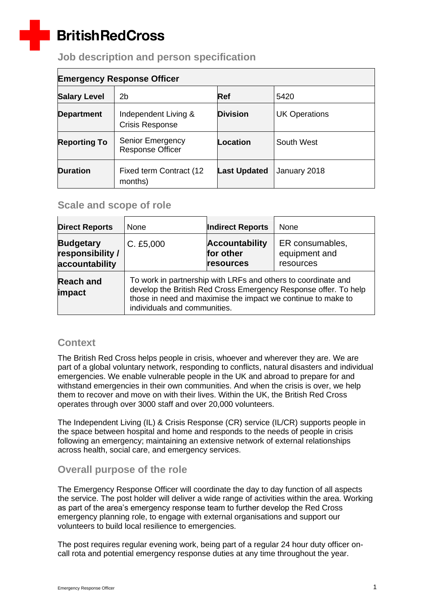# **BritishRedCross**

 $\overline{a}$ 

# **Job description and person specification**

| <b>Emergency Response Officer</b> |                                                    |                     |                      |  |
|-----------------------------------|----------------------------------------------------|---------------------|----------------------|--|
| <b>Salary Level</b>               | 2b                                                 | Ref                 | 5420                 |  |
| <b>Department</b>                 | Independent Living &<br><b>Crisis Response</b>     | <b>Division</b>     | <b>UK Operations</b> |  |
| <b>Reporting To</b>               | <b>Senior Emergency</b><br><b>Response Officer</b> | Location            | South West           |  |
| <b>Duration</b>                   | Fixed term Contract (12<br>months)                 | <b>Last Updated</b> | January 2018         |  |

# **Scale and scope of role**

| <b>Direct Reports</b>                                  | None                                                                                                                                                                                                                             | <b>Indirect Reports</b>                         | None                                          |
|--------------------------------------------------------|----------------------------------------------------------------------------------------------------------------------------------------------------------------------------------------------------------------------------------|-------------------------------------------------|-----------------------------------------------|
| <b>Budgetary</b><br>responsibility /<br>accountability | C. £5,000                                                                                                                                                                                                                        | <b>Accountability</b><br>for other<br>resources | ER consumables,<br>equipment and<br>resources |
| <b>Reach and</b><br>impact                             | To work in partnership with LRFs and others to coordinate and<br>develop the British Red Cross Emergency Response offer. To help<br>those in need and maximise the impact we continue to make to<br>individuals and communities. |                                                 |                                               |

# **Context**

The British Red Cross helps people in crisis, whoever and wherever they are. We are part of a global voluntary network, responding to conflicts, natural disasters and individual emergencies. We enable vulnerable people in the UK and abroad to prepare for and withstand emergencies in their own communities. And when the crisis is over, we help them to recover and move on with their lives. Within the UK, the British Red Cross operates through over 3000 staff and over 20,000 volunteers.

The Independent Living (IL) & Crisis Response (CR) service (IL/CR) supports people in the space between hospital and home and responds to the needs of people in crisis following an emergency; maintaining an extensive network of external relationships across health, social care, and emergency services.

# **Overall purpose of the role**

The Emergency Response Officer will coordinate the day to day function of all aspects the service. The post holder will deliver a wide range of activities within the area. Working as part of the area's emergency response team to further develop the Red Cross emergency planning role, to engage with external organisations and support our volunteers to build local resilience to emergencies.

The post requires regular evening work, being part of a regular 24 hour duty officer oncall rota and potential emergency response duties at any time throughout the year.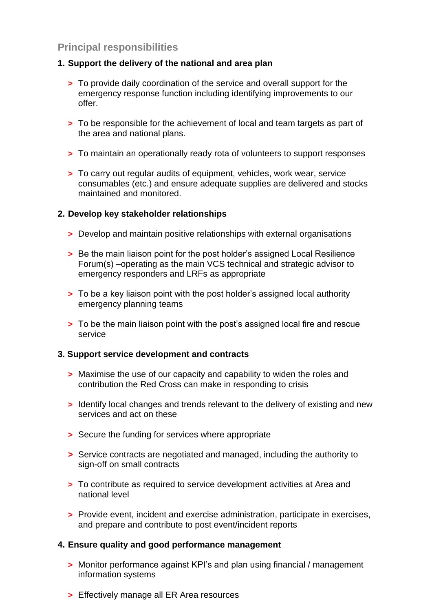# **Principal responsibilities**

#### **1. Support the delivery of the national and area plan**

- **>** To provide daily coordination of the service and overall support for the emergency response function including identifying improvements to our offer.
- **>** To be responsible for the achievement of local and team targets as part of the area and national plans.
- **>** To maintain an operationally ready rota of volunteers to support responses
- **>** To carry out regular audits of equipment, vehicles, work wear, service consumables (etc.) and ensure adequate supplies are delivered and stocks maintained and monitored.

#### **2. Develop key stakeholder relationships**

- **>** Develop and maintain positive relationships with external organisations
- **>** Be the main liaison point for the post holder's assigned Local Resilience Forum(s) –operating as the main VCS technical and strategic advisor to emergency responders and LRFs as appropriate
- **>** To be a key liaison point with the post holder's assigned local authority emergency planning teams
- **>** To be the main liaison point with the post's assigned local fire and rescue service

#### **3. Support service development and contracts**

- **>** Maximise the use of our capacity and capability to widen the roles and contribution the Red Cross can make in responding to crisis
- **>** Identify local changes and trends relevant to the delivery of existing and new services and act on these
- **>** Secure the funding for services where appropriate
- **>** Service contracts are negotiated and managed, including the authority to sign-off on small contracts
- **>** To contribute as required to service development activities at Area and national level
- **>** Provide event, incident and exercise administration, participate in exercises, and prepare and contribute to post event/incident reports

#### **4. Ensure quality and good performance management**

- **>** Monitor performance against KPI's and plan using financial / management information systems
- **>** Effectively manage all ER Area resources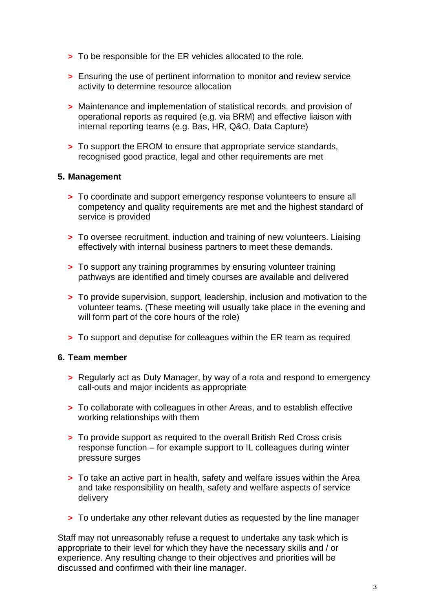- **>** To be responsible for the ER vehicles allocated to the role.
- **>** Ensuring the use of pertinent information to monitor and review service activity to determine resource allocation
- **>** Maintenance and implementation of statistical records, and provision of operational reports as required (e.g. via BRM) and effective liaison with internal reporting teams (e.g. Bas, HR, Q&O, Data Capture)
- **>** To support the EROM to ensure that appropriate service standards, recognised good practice, legal and other requirements are met

#### **5. Management**

- **>** To coordinate and support emergency response volunteers to ensure all competency and quality requirements are met and the highest standard of service is provided
- **>** To oversee recruitment, induction and training of new volunteers. Liaising effectively with internal business partners to meet these demands.
- **>** To support any training programmes by ensuring volunteer training pathways are identified and timely courses are available and delivered
- **>** To provide supervision, support, leadership, inclusion and motivation to the volunteer teams. (These meeting will usually take place in the evening and will form part of the core hours of the role)
- **>** To support and deputise for colleagues within the ER team as required

#### **6. Team member**

- **>** Regularly act as Duty Manager, by way of a rota and respond to emergency call-outs and major incidents as appropriate
- **>** To collaborate with colleagues in other Areas, and to establish effective working relationships with them
- **>** To provide support as required to the overall British Red Cross crisis response function – for example support to IL colleagues during winter pressure surges
- **>** To take an active part in health, safety and welfare issues within the Area and take responsibility on health, safety and welfare aspects of service delivery
- **>** To undertake any other relevant duties as requested by the line manager

Staff may not unreasonably refuse a request to undertake any task which is appropriate to their level for which they have the necessary skills and / or experience. Any resulting change to their objectives and priorities will be discussed and confirmed with their line manager.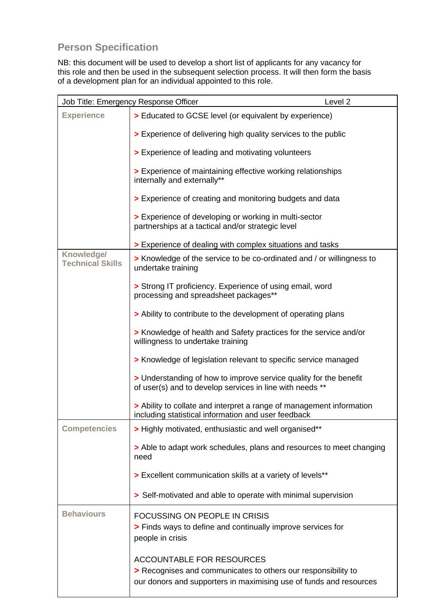# **Person Specification**

NB: this document will be used to develop a short list of applicants for any vacancy for this role and then be used in the subsequent selection process. It will then form the basis of a development plan for an individual appointed to this role.

|                                       | Level 2<br>Job Title: Emergency Response Officer                                                                                                                        |  |
|---------------------------------------|-------------------------------------------------------------------------------------------------------------------------------------------------------------------------|--|
| <b>Experience</b>                     | > Educated to GCSE level (or equivalent by experience)                                                                                                                  |  |
|                                       | > Experience of delivering high quality services to the public                                                                                                          |  |
|                                       | > Experience of leading and motivating volunteers                                                                                                                       |  |
|                                       | > Experience of maintaining effective working relationships<br>internally and externally**                                                                              |  |
|                                       | > Experience of creating and monitoring budgets and data                                                                                                                |  |
|                                       | > Experience of developing or working in multi-sector<br>partnerships at a tactical and/or strategic level                                                              |  |
|                                       | > Experience of dealing with complex situations and tasks                                                                                                               |  |
| Knowledge/<br><b>Technical Skills</b> | > Knowledge of the service to be co-ordinated and / or willingness to<br>undertake training                                                                             |  |
|                                       | > Strong IT proficiency. Experience of using email, word<br>processing and spreadsheet packages**                                                                       |  |
|                                       | > Ability to contribute to the development of operating plans                                                                                                           |  |
|                                       | > Knowledge of health and Safety practices for the service and/or<br>willingness to undertake training                                                                  |  |
|                                       | > Knowledge of legislation relevant to specific service managed                                                                                                         |  |
|                                       | > Understanding of how to improve service quality for the benefit<br>of user(s) and to develop services in line with needs **                                           |  |
|                                       | > Ability to collate and interpret a range of management information<br>including statistical information and user feedback                                             |  |
| <b>Competencies</b>                   | > Highly motivated, enthusiastic and well organised**                                                                                                                   |  |
|                                       | > Able to adapt work schedules, plans and resources to meet changing<br>need                                                                                            |  |
|                                       | > Excellent communication skills at a variety of levels**                                                                                                               |  |
|                                       | > Self-motivated and able to operate with minimal supervision                                                                                                           |  |
| <b>Behaviours</b>                     | <b>FOCUSSING ON PEOPLE IN CRISIS</b><br>> Finds ways to define and continually improve services for<br>people in crisis                                                 |  |
|                                       | <b>ACCOUNTABLE FOR RESOURCES</b><br>> Recognises and communicates to others our responsibility to<br>our donors and supporters in maximising use of funds and resources |  |